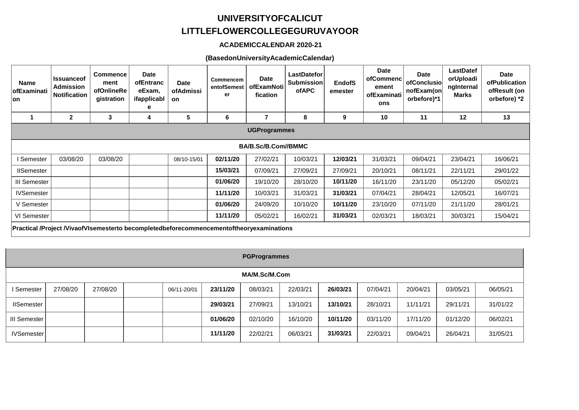# **UNIVERSITYOFCALICUT LITTLEFLOWERCOLLEGEGURUVAYOOR**

## **ACADEMICCALENDAR 2020-21**

#### (BasedonUniversityAcademicCalendar)

| <b>Name</b><br>ofExaminati<br>lon                                                        | <b>Issuanceof</b><br>Admission<br><b>Notification</b> | <b>Commence</b><br>ment<br>ofOnlineRe<br>gistration | <b>Date</b><br>ofEntranc<br>eExam.<br>ifapplicabl<br>е | <b>Date</b><br>ofAdmissi<br>on | Commencem<br>entofSemest<br>er | <b>Date</b><br>ofExamNoti<br>fication | <b>LastDatefor</b><br><b>Submission</b><br>ofAPC | <b>EndofS</b><br>emester | <b>Date</b><br>ofCommenc<br>ement<br>ofExaminati<br>ons | <b>Date</b><br>ofConclusio<br>nofExam(on<br>orbefore)*1 | LastDatef<br>orUploadi<br>ngInternal<br>Marks | <b>Date</b><br><b>ofPublication</b><br>ofResult (on<br>orbefore) *2 |
|------------------------------------------------------------------------------------------|-------------------------------------------------------|-----------------------------------------------------|--------------------------------------------------------|--------------------------------|--------------------------------|---------------------------------------|--------------------------------------------------|--------------------------|---------------------------------------------------------|---------------------------------------------------------|-----------------------------------------------|---------------------------------------------------------------------|
|                                                                                          | $\overline{2}$                                        | 3                                                   | 4                                                      | 5                              | 6                              |                                       | 8                                                | 9                        | 10                                                      | 11                                                      | 12                                            | 13                                                                  |
| <b>UGProgrammes</b>                                                                      |                                                       |                                                     |                                                        |                                |                                |                                       |                                                  |                          |                                                         |                                                         |                                               |                                                                     |
| BA/B.Sc/B.Com//BMMC                                                                      |                                                       |                                                     |                                                        |                                |                                |                                       |                                                  |                          |                                                         |                                                         |                                               |                                                                     |
| Semester                                                                                 | 03/08/20                                              | 03/08/20                                            |                                                        | 08/10-15/01                    | 02/11/20                       | 27/02/21                              | 10/03/21                                         | 12/03/21                 | 31/03/21                                                | 09/04/21                                                | 23/04/21                                      | 16/06/21                                                            |
| <b>IISemester</b>                                                                        |                                                       |                                                     |                                                        |                                | 15/03/21                       | 07/09/21                              | 27/09/21                                         | 27/09/21                 | 20/10/21                                                | 08/11/21                                                | 22/11/21                                      | 29/01/22                                                            |
| III Semester                                                                             |                                                       |                                                     |                                                        |                                | 01/06/20                       | 19/10/20                              | 28/10/20                                         | 10/11/20                 | 16/11/20                                                | 23/11/20                                                | 05/12/20                                      | 05/02/21                                                            |
| <b>IVSemester</b>                                                                        |                                                       |                                                     |                                                        |                                | 11/11/20                       | 10/03/21                              | 31/03/21                                         | 31/03/21                 | 07/04/21                                                | 28/04/21                                                | 12/05/21                                      | 16/07/21                                                            |
| V Semester                                                                               |                                                       |                                                     |                                                        |                                | 01/06/20                       | 24/09/20                              | 10/10/20                                         | 10/11/20                 | 23/10/20                                                | 07/11/20                                                | 21/11/20                                      | 28/01/21                                                            |
| VI Semester                                                                              |                                                       |                                                     |                                                        |                                | 11/11/20                       | 05/02/21                              | 16/02/21                                         | 31/03/21                 | 02/03/21                                                | 18/03/21                                                | 30/03/21                                      | 15/04/21                                                            |
| Practical /Project /VivaofVIsemesterto becompletedbeforecommencementoftheoryexaminations |                                                       |                                                     |                                                        |                                |                                |                                       |                                                  |                          |                                                         |                                                         |                                               |                                                                     |

| <b>PGProgrammes</b> |          |          |  |             |          |          |          |          |          |          |          |          |
|---------------------|----------|----------|--|-------------|----------|----------|----------|----------|----------|----------|----------|----------|
| MA/M.Sc/M.Com       |          |          |  |             |          |          |          |          |          |          |          |          |
| I Semester          | 27/08/20 | 27/08/20 |  | 06/11-20/01 | 23/11/20 | 08/03/21 | 22/03/21 | 26/03/21 | 07/04/21 | 20/04/21 | 03/05/21 | 06/05/21 |
| <b>IISemester</b>   |          |          |  |             | 29/03/21 | 27/09/21 | 13/10/21 | 13/10/21 | 28/10/21 | 11/11/21 | 29/11/21 | 31/01/22 |
| III Semester        |          |          |  |             | 01/06/20 | 02/10/20 | 16/10/20 | 10/11/20 | 03/11/20 | 17/11/20 | 01/12/20 | 06/02/21 |
| <b>IVSemester</b>   |          |          |  |             | 11/11/20 | 22/02/21 | 06/03/21 | 31/03/21 | 22/03/21 | 09/04/21 | 26/04/21 | 31/05/21 |